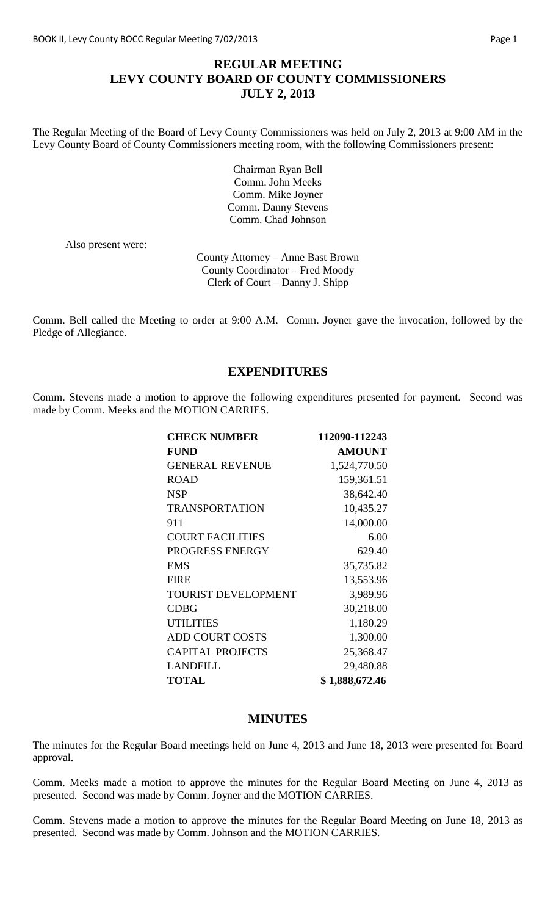# **REGULAR MEETING LEVY COUNTY BOARD OF COUNTY COMMISSIONERS JULY 2, 2013**

The Regular Meeting of the Board of Levy County Commissioners was held on July 2, 2013 at 9:00 AM in the Levy County Board of County Commissioners meeting room, with the following Commissioners present:

> Chairman Ryan Bell Comm. John Meeks Comm. Mike Joyner Comm. Danny Stevens Comm. Chad Johnson

Also present were:

County Attorney – Anne Bast Brown County Coordinator – Fred Moody Clerk of Court – Danny J. Shipp

Comm. Bell called the Meeting to order at 9:00 A.M. Comm. Joyner gave the invocation, followed by the Pledge of Allegiance.

## **EXPENDITURES**

Comm. Stevens made a motion to approve the following expenditures presented for payment. Second was made by Comm. Meeks and the MOTION CARRIES.

| <b>CHECK NUMBER</b>        | 112090-112243  |
|----------------------------|----------------|
| <b>FUND</b>                | <b>AMOUNT</b>  |
| <b>GENERAL REVENUE</b>     | 1,524,770.50   |
| <b>ROAD</b>                | 159,361.51     |
| <b>NSP</b>                 | 38,642.40      |
| <b>TRANSPORTATION</b>      | 10,435.27      |
| 911                        | 14,000.00      |
| <b>COURT FACILITIES</b>    | 6.00           |
| PROGRESS ENERGY            | 629.40         |
| <b>EMS</b>                 | 35,735.82      |
| <b>FIRE</b>                | 13,553.96      |
| <b>TOURIST DEVELOPMENT</b> | 3,989.96       |
| <b>CDBG</b>                | 30,218.00      |
| <b>UTILITIES</b>           | 1,180.29       |
| <b>ADD COURT COSTS</b>     | 1,300.00       |
| <b>CAPITAL PROJECTS</b>    | 25,368.47      |
| <b>LANDFILL</b>            | 29,480.88      |
| <b>TOTAL</b>               | \$1,888,672.46 |

#### **MINUTES**

The minutes for the Regular Board meetings held on June 4, 2013 and June 18, 2013 were presented for Board approval.

Comm. Meeks made a motion to approve the minutes for the Regular Board Meeting on June 4, 2013 as presented. Second was made by Comm. Joyner and the MOTION CARRIES.

Comm. Stevens made a motion to approve the minutes for the Regular Board Meeting on June 18, 2013 as presented. Second was made by Comm. Johnson and the MOTION CARRIES.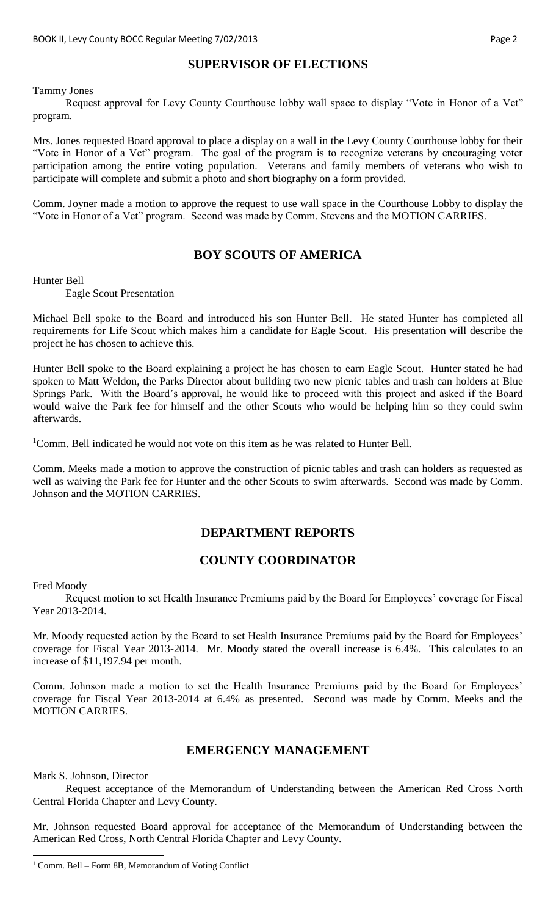# **SUPERVISOR OF ELECTIONS**

Tammy Jones

Request approval for Levy County Courthouse lobby wall space to display "Vote in Honor of a Vet" program.

Mrs. Jones requested Board approval to place a display on a wall in the Levy County Courthouse lobby for their "Vote in Honor of a Vet" program. The goal of the program is to recognize veterans by encouraging voter participation among the entire voting population. Veterans and family members of veterans who wish to participate will complete and submit a photo and short biography on a form provided.

Comm. Joyner made a motion to approve the request to use wall space in the Courthouse Lobby to display the "Vote in Honor of a Vet" program. Second was made by Comm. Stevens and the MOTION CARRIES.

# **BOY SCOUTS OF AMERICA**

Hunter Bell

Eagle Scout Presentation

Michael Bell spoke to the Board and introduced his son Hunter Bell. He stated Hunter has completed all requirements for Life Scout which makes him a candidate for Eagle Scout. His presentation will describe the project he has chosen to achieve this.

Hunter Bell spoke to the Board explaining a project he has chosen to earn Eagle Scout. Hunter stated he had spoken to Matt Weldon, the Parks Director about building two new picnic tables and trash can holders at Blue Springs Park. With the Board's approval, he would like to proceed with this project and asked if the Board would waive the Park fee for himself and the other Scouts who would be helping him so they could swim afterwards.

<sup>1</sup>Comm. Bell indicated he would not vote on this item as he was related to Hunter Bell.

Comm. Meeks made a motion to approve the construction of picnic tables and trash can holders as requested as well as waiving the Park fee for Hunter and the other Scouts to swim afterwards. Second was made by Comm. Johnson and the MOTION CARRIES.

### **DEPARTMENT REPORTS**

### **COUNTY COORDINATOR**

Fred Moody

Request motion to set Health Insurance Premiums paid by the Board for Employees' coverage for Fiscal Year 2013-2014.

Mr. Moody requested action by the Board to set Health Insurance Premiums paid by the Board for Employees' coverage for Fiscal Year 2013-2014. Mr. Moody stated the overall increase is 6.4%. This calculates to an increase of \$11,197.94 per month.

Comm. Johnson made a motion to set the Health Insurance Premiums paid by the Board for Employees' coverage for Fiscal Year 2013-2014 at 6.4% as presented. Second was made by Comm. Meeks and the MOTION CARRIES.

### **EMERGENCY MANAGEMENT**

Mark S. Johnson, Director

 $\overline{a}$ 

Request acceptance of the Memorandum of Understanding between the American Red Cross North Central Florida Chapter and Levy County.

Mr. Johnson requested Board approval for acceptance of the Memorandum of Understanding between the American Red Cross, North Central Florida Chapter and Levy County.

<sup>1</sup> Comm. Bell – Form 8B, Memorandum of Voting Conflict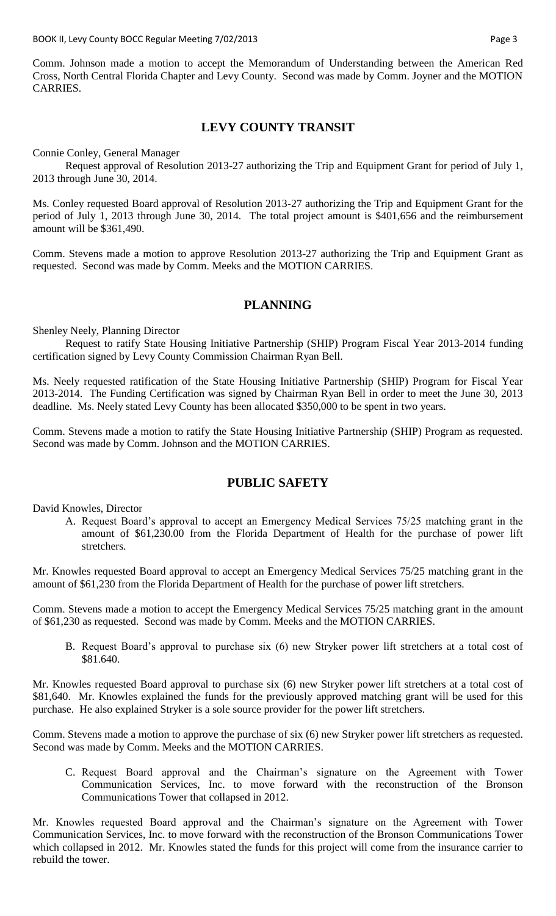BOOK II, Levy County BOCC Regular Meeting 7/02/2013 **Page 3** All research 2010 Rage 3

Comm. Johnson made a motion to accept the Memorandum of Understanding between the American Red Cross, North Central Florida Chapter and Levy County. Second was made by Comm. Joyner and the MOTION CARRIES.

### **LEVY COUNTY TRANSIT**

Connie Conley, General Manager

Request approval of Resolution 2013-27 authorizing the Trip and Equipment Grant for period of July 1, 2013 through June 30, 2014.

Ms. Conley requested Board approval of Resolution 2013-27 authorizing the Trip and Equipment Grant for the period of July 1, 2013 through June 30, 2014. The total project amount is \$401,656 and the reimbursement amount will be \$361,490.

Comm. Stevens made a motion to approve Resolution 2013-27 authorizing the Trip and Equipment Grant as requested. Second was made by Comm. Meeks and the MOTION CARRIES.

## **PLANNING**

Shenley Neely, Planning Director

Request to ratify State Housing Initiative Partnership (SHIP) Program Fiscal Year 2013-2014 funding certification signed by Levy County Commission Chairman Ryan Bell.

Ms. Neely requested ratification of the State Housing Initiative Partnership (SHIP) Program for Fiscal Year 2013-2014. The Funding Certification was signed by Chairman Ryan Bell in order to meet the June 30, 2013 deadline. Ms. Neely stated Levy County has been allocated \$350,000 to be spent in two years.

Comm. Stevens made a motion to ratify the State Housing Initiative Partnership (SHIP) Program as requested. Second was made by Comm. Johnson and the MOTION CARRIES.

### **PUBLIC SAFETY**

David Knowles, Director

A. Request Board's approval to accept an Emergency Medical Services 75/25 matching grant in the amount of \$61,230.00 from the Florida Department of Health for the purchase of power lift stretchers.

Mr. Knowles requested Board approval to accept an Emergency Medical Services 75/25 matching grant in the amount of \$61,230 from the Florida Department of Health for the purchase of power lift stretchers.

Comm. Stevens made a motion to accept the Emergency Medical Services 75/25 matching grant in the amount of \$61,230 as requested. Second was made by Comm. Meeks and the MOTION CARRIES.

B. Request Board's approval to purchase six (6) new Stryker power lift stretchers at a total cost of \$81.640.

Mr. Knowles requested Board approval to purchase six (6) new Stryker power lift stretchers at a total cost of \$81,640. Mr. Knowles explained the funds for the previously approved matching grant will be used for this purchase. He also explained Stryker is a sole source provider for the power lift stretchers.

Comm. Stevens made a motion to approve the purchase of six (6) new Stryker power lift stretchers as requested. Second was made by Comm. Meeks and the MOTION CARRIES.

C. Request Board approval and the Chairman's signature on the Agreement with Tower Communication Services, Inc. to move forward with the reconstruction of the Bronson Communications Tower that collapsed in 2012.

Mr. Knowles requested Board approval and the Chairman's signature on the Agreement with Tower Communication Services, Inc. to move forward with the reconstruction of the Bronson Communications Tower which collapsed in 2012. Mr. Knowles stated the funds for this project will come from the insurance carrier to rebuild the tower.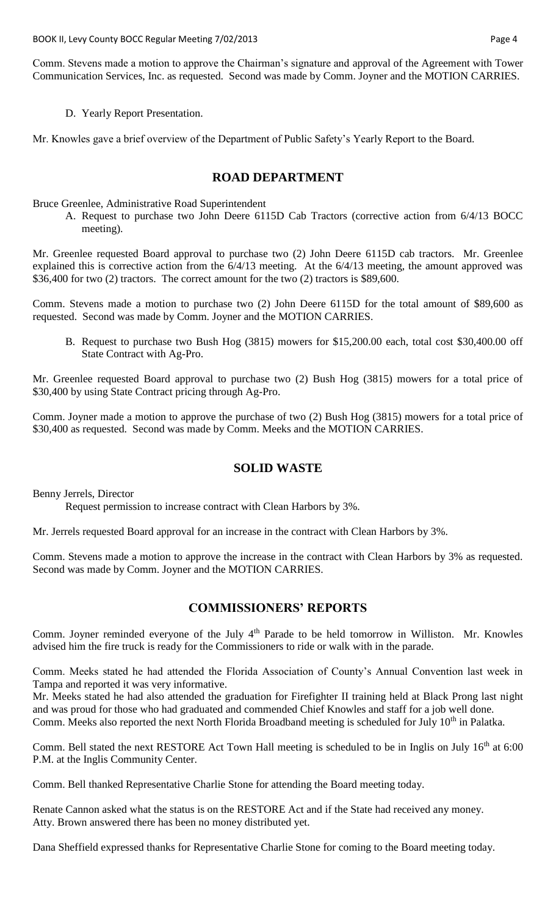Comm. Stevens made a motion to approve the Chairman's signature and approval of the Agreement with Tower Communication Services, Inc. as requested. Second was made by Comm. Joyner and the MOTION CARRIES.

D. Yearly Report Presentation.

Mr. Knowles gave a brief overview of the Department of Public Safety's Yearly Report to the Board.

# **ROAD DEPARTMENT**

Bruce Greenlee, Administrative Road Superintendent

A. Request to purchase two John Deere 6115D Cab Tractors (corrective action from 6/4/13 BOCC meeting).

Mr. Greenlee requested Board approval to purchase two (2) John Deere 6115D cab tractors. Mr. Greenlee explained this is corrective action from the 6/4/13 meeting. At the 6/4/13 meeting, the amount approved was \$36,400 for two (2) tractors. The correct amount for the two (2) tractors is \$89,600.

Comm. Stevens made a motion to purchase two (2) John Deere 6115D for the total amount of \$89,600 as requested. Second was made by Comm. Joyner and the MOTION CARRIES.

B. Request to purchase two Bush Hog (3815) mowers for \$15,200.00 each, total cost \$30,400.00 off State Contract with Ag-Pro.

Mr. Greenlee requested Board approval to purchase two (2) Bush Hog (3815) mowers for a total price of \$30,400 by using State Contract pricing through Ag-Pro.

Comm. Joyner made a motion to approve the purchase of two (2) Bush Hog (3815) mowers for a total price of \$30,400 as requested. Second was made by Comm. Meeks and the MOTION CARRIES.

### **SOLID WASTE**

Benny Jerrels, Director

Request permission to increase contract with Clean Harbors by 3%.

Mr. Jerrels requested Board approval for an increase in the contract with Clean Harbors by 3%.

Comm. Stevens made a motion to approve the increase in the contract with Clean Harbors by 3% as requested. Second was made by Comm. Joyner and the MOTION CARRIES.

# **COMMISSIONERS' REPORTS**

Comm. Joyner reminded everyone of the July 4<sup>th</sup> Parade to be held tomorrow in Williston. Mr. Knowles advised him the fire truck is ready for the Commissioners to ride or walk with in the parade.

Comm. Meeks stated he had attended the Florida Association of County's Annual Convention last week in Tampa and reported it was very informative.

Mr. Meeks stated he had also attended the graduation for Firefighter II training held at Black Prong last night and was proud for those who had graduated and commended Chief Knowles and staff for a job well done. Comm. Meeks also reported the next North Florida Broadband meeting is scheduled for July 10<sup>th</sup> in Palatka.

Comm. Bell stated the next RESTORE Act Town Hall meeting is scheduled to be in Inglis on July 16<sup>th</sup> at 6:00 P.M. at the Inglis Community Center.

Comm. Bell thanked Representative Charlie Stone for attending the Board meeting today.

Renate Cannon asked what the status is on the RESTORE Act and if the State had received any money. Atty. Brown answered there has been no money distributed yet.

Dana Sheffield expressed thanks for Representative Charlie Stone for coming to the Board meeting today.